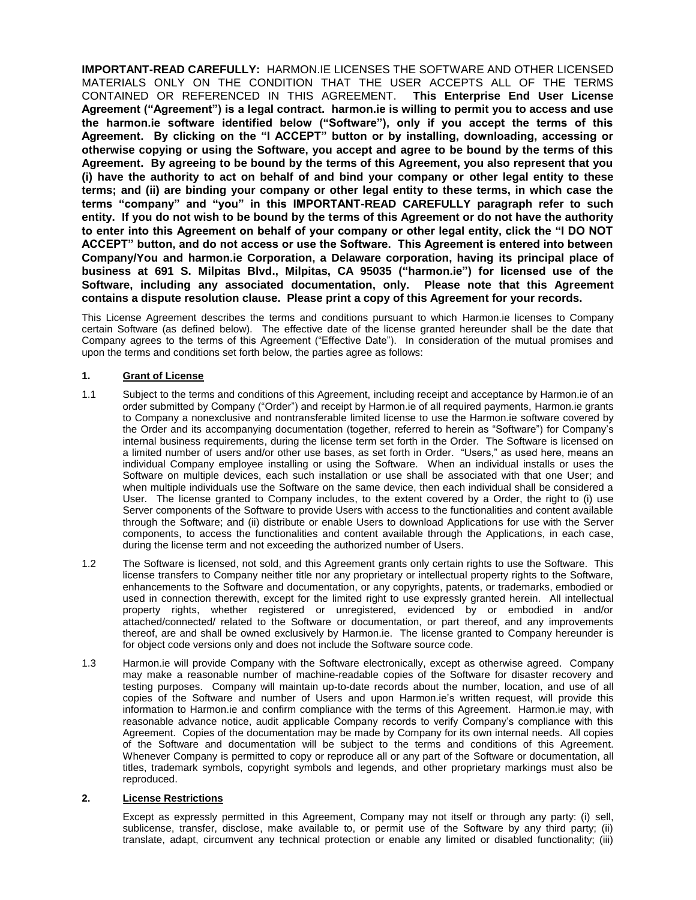**IMPORTANT-READ CAREFULLY:** HARMON.IE LICENSES THE SOFTWARE AND OTHER LICENSED MATERIALS ONLY ON THE CONDITION THAT THE USER ACCEPTS ALL OF THE TERMS CONTAINED OR REFERENCED IN THIS AGREEMENT. **This Enterprise End User License Agreement ("Agreement") is a legal contract. harmon.ie is willing to permit you to access and use the harmon.ie software identified below ("Software"), only if you accept the terms of this Agreement. By clicking on the "I ACCEPT" button or by installing, downloading, accessing or otherwise copying or using the Software, you accept and agree to be bound by the terms of this Agreement. By agreeing to be bound by the terms of this Agreement, you also represent that you (i) have the authority to act on behalf of and bind your company or other legal entity to these terms; and (ii) are binding your company or other legal entity to these terms, in which case the terms "company" and "you" in this IMPORTANT-READ CAREFULLY paragraph refer to such entity. If you do not wish to be bound by the terms of this Agreement or do not have the authority to enter into this Agreement on behalf of your company or other legal entity, click the "I DO NOT ACCEPT" button, and do not access or use the Software. This Agreement is entered into between Company/You and harmon.ie Corporation, a Delaware corporation, having its principal place of business at 691 S. Milpitas Blvd., Milpitas, CA 95035 ("harmon.ie") for licensed use of the Software, including any associated documentation, only. Please note that this Agreement contains a dispute resolution clause. Please print a copy of this Agreement for your records.**

This License Agreement describes the terms and conditions pursuant to which Harmon.ie licenses to Company certain Software (as defined below). The effective date of the license granted hereunder shall be the date that Company agrees to the terms of this Agreement ("Effective Date"). In consideration of the mutual promises and upon the terms and conditions set forth below, the parties agree as follows:

# **1. Grant of License**

- 1.1 Subject to the terms and conditions of this Agreement, including receipt and acceptance by Harmon.ie of an order submitted by Company ("Order") and receipt by Harmon.ie of all required payments, Harmon.ie grants to Company a nonexclusive and nontransferable limited license to use the Harmon.ie software covered by the Order and its accompanying documentation (together, referred to herein as "Software") for Company's internal business requirements, during the license term set forth in the Order. The Software is licensed on a limited number of users and/or other use bases, as set forth in Order. "Users," as used here, means an individual Company employee installing or using the Software. When an individual installs or uses the Software on multiple devices, each such installation or use shall be associated with that one User; and when multiple individuals use the Software on the same device, then each individual shall be considered a User. The license granted to Company includes, to the extent covered by a Order, the right to (i) use Server components of the Software to provide Users with access to the functionalities and content available through the Software; and (ii) distribute or enable Users to download Applications for use with the Server components, to access the functionalities and content available through the Applications, in each case, during the license term and not exceeding the authorized number of Users.
- 1.2 The Software is licensed, not sold, and this Agreement grants only certain rights to use the Software. This license transfers to Company neither title nor any proprietary or intellectual property rights to the Software, enhancements to the Software and documentation, or any copyrights, patents, or trademarks, embodied or used in connection therewith, except for the limited right to use expressly granted herein. All intellectual property rights, whether registered or unregistered, evidenced by or embodied in and/or attached/connected/ related to the Software or documentation, or part thereof, and any improvements thereof, are and shall be owned exclusively by Harmon.ie. The license granted to Company hereunder is for object code versions only and does not include the Software source code.
- 1.3 Harmon.ie will provide Company with the Software electronically, except as otherwise agreed. Company may make a reasonable number of machine-readable copies of the Software for disaster recovery and testing purposes. Company will maintain up-to-date records about the number, location, and use of all copies of the Software and number of Users and upon Harmon.ie's written request, will provide this information to Harmon.ie and confirm compliance with the terms of this Agreement. Harmon.ie may, with reasonable advance notice, audit applicable Company records to verify Company's compliance with this Agreement. Copies of the documentation may be made by Company for its own internal needs. All copies of the Software and documentation will be subject to the terms and conditions of this Agreement. Whenever Company is permitted to copy or reproduce all or any part of the Software or documentation, all titles, trademark symbols, copyright symbols and legends, and other proprietary markings must also be reproduced.

### **2. License Restrictions**

Except as expressly permitted in this Agreement, Company may not itself or through any party: (i) sell, sublicense, transfer, disclose, make available to, or permit use of the Software by any third party; (ii) translate, adapt, circumvent any technical protection or enable any limited or disabled functionality; (iii)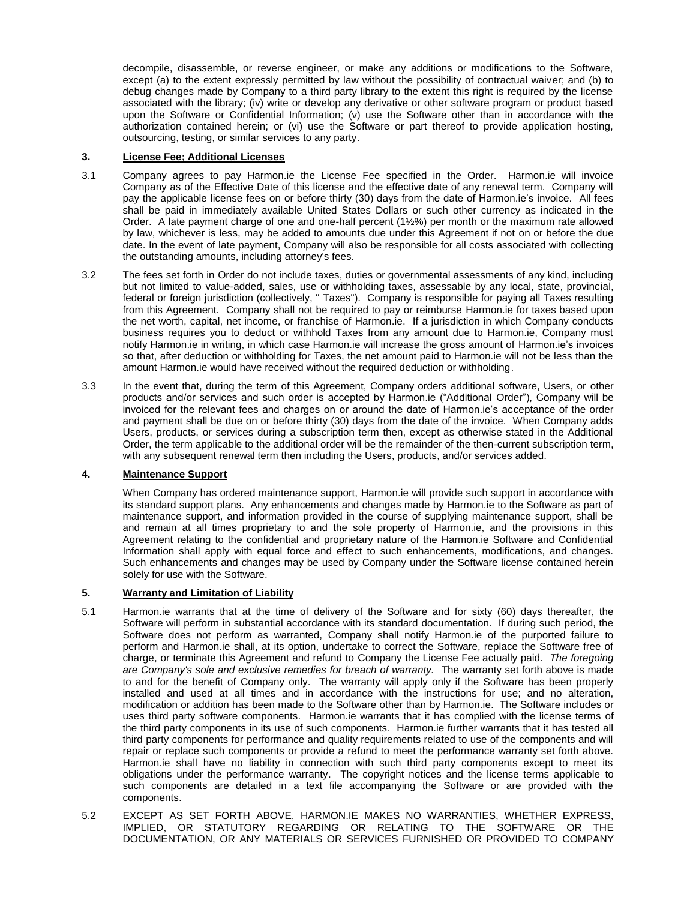decompile, disassemble, or reverse engineer, or make any additions or modifications to the Software, except (a) to the extent expressly permitted by law without the possibility of contractual waiver; and (b) to debug changes made by Company to a third party library to the extent this right is required by the license associated with the library; (iv) write or develop any derivative or other software program or product based upon the Software or Confidential Information; (v) use the Software other than in accordance with the authorization contained herein; or (vi) use the Software or part thereof to provide application hosting, outsourcing, testing, or similar services to any party.

## **3. License Fee; Additional Licenses**

- 3.1 Company agrees to pay Harmon.ie the License Fee specified in the Order. Harmon.ie will invoice Company as of the Effective Date of this license and the effective date of any renewal term. Company will pay the applicable license fees on or before thirty (30) days from the date of Harmon.ie's invoice. All fees shall be paid in immediately available United States Dollars or such other currency as indicated in the Order. A late payment charge of one and one-half percent (1½%) per month or the maximum rate allowed by law, whichever is less, may be added to amounts due under this Agreement if not on or before the due date. In the event of late payment, Company will also be responsible for all costs associated with collecting the outstanding amounts, including attorney's fees.
- 3.2 The fees set forth in Order do not include taxes, duties or governmental assessments of any kind, including but not limited to value-added, sales, use or withholding taxes, assessable by any local, state, provincial, federal or foreign jurisdiction (collectively, " Taxes"). Company is responsible for paying all Taxes resulting from this Agreement. Company shall not be required to pay or reimburse Harmon.ie for taxes based upon the net worth, capital, net income, or franchise of Harmon.ie. If a jurisdiction in which Company conducts business requires you to deduct or withhold Taxes from any amount due to Harmon.ie, Company must notify Harmon.ie in writing, in which case Harmon.ie will increase the gross amount of Harmon.ie's invoices so that, after deduction or withholding for Taxes, the net amount paid to Harmon.ie will not be less than the amount Harmon.ie would have received without the required deduction or withholding.
- 3.3 In the event that, during the term of this Agreement, Company orders additional software, Users, or other products and/or services and such order is accepted by Harmon.ie ("Additional Order"), Company will be invoiced for the relevant fees and charges on or around the date of Harmon.ie's acceptance of the order and payment shall be due on or before thirty (30) days from the date of the invoice. When Company adds Users, products, or services during a subscription term then, except as otherwise stated in the Additional Order, the term applicable to the additional order will be the remainder of the then-current subscription term, with any subsequent renewal term then including the Users, products, and/or services added.

## **4. Maintenance Support**

When Company has ordered maintenance support, Harmon.ie will provide such support in accordance with its standard support plans. Any enhancements and changes made by Harmon.ie to the Software as part of maintenance support, and information provided in the course of supplying maintenance support, shall be and remain at all times proprietary to and the sole property of Harmon.ie, and the provisions in this Agreement relating to the confidential and proprietary nature of the Harmon.ie Software and Confidential Information shall apply with equal force and effect to such enhancements, modifications, and changes. Such enhancements and changes may be used by Company under the Software license contained herein solely for use with the Software.

## **5. Warranty and Limitation of Liability**

- 5.1 Harmon.ie warrants that at the time of delivery of the Software and for sixty (60) days thereafter, the Software will perform in substantial accordance with its standard documentation. If during such period, the Software does not perform as warranted, Company shall notify Harmon.ie of the purported failure to perform and Harmon.ie shall, at its option, undertake to correct the Software, replace the Software free of charge, or terminate this Agreement and refund to Company the License Fee actually paid. *The foregoing are Company's sole and exclusive remedies for breach of warranty.* The warranty set forth above is made to and for the benefit of Company only. The warranty will apply only if the Software has been properly installed and used at all times and in accordance with the instructions for use; and no alteration, modification or addition has been made to the Software other than by Harmon.ie. The Software includes or uses third party software components. Harmon.ie warrants that it has complied with the license terms of the third party components in its use of such components. Harmon.ie further warrants that it has tested all third party components for performance and quality requirements related to use of the components and will repair or replace such components or provide a refund to meet the performance warranty set forth above. Harmon.ie shall have no liability in connection with such third party components except to meet its obligations under the performance warranty. The copyright notices and the license terms applicable to such components are detailed in a text file accompanying the Software or are provided with the components.
- 5.2 EXCEPT AS SET FORTH ABOVE, HARMON.IE MAKES NO WARRANTIES, WHETHER EXPRESS, IMPLIED, OR STATUTORY REGARDING OR RELATING TO THE SOFTWARE OR THE DOCUMENTATION, OR ANY MATERIALS OR SERVICES FURNISHED OR PROVIDED TO COMPANY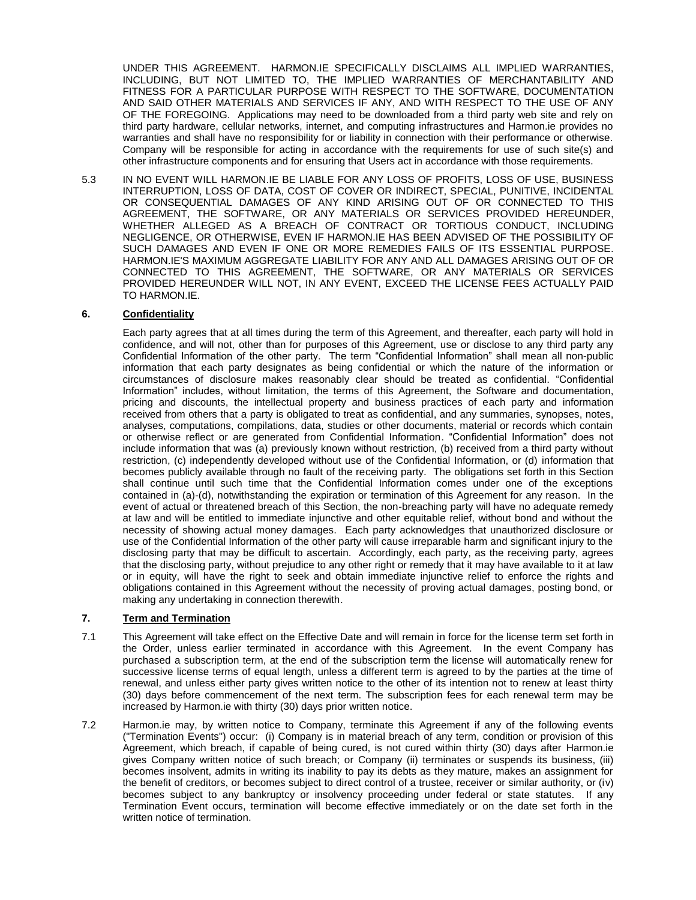UNDER THIS AGREEMENT. HARMON.IE SPECIFICALLY DISCLAIMS ALL IMPLIED WARRANTIES, INCLUDING, BUT NOT LIMITED TO, THE IMPLIED WARRANTIES OF MERCHANTABILITY AND FITNESS FOR A PARTICULAR PURPOSE WITH RESPECT TO THE SOFTWARE, DOCUMENTATION AND SAID OTHER MATERIALS AND SERVICES IF ANY, AND WITH RESPECT TO THE USE OF ANY OF THE FOREGOING. Applications may need to be downloaded from a third party web site and rely on third party hardware, cellular networks, internet, and computing infrastructures and Harmon.ie provides no warranties and shall have no responsibility for or liability in connection with their performance or otherwise. Company will be responsible for acting in accordance with the requirements for use of such site(s) and other infrastructure components and for ensuring that Users act in accordance with those requirements.

5.3 IN NO EVENT WILL HARMON.IE BE LIABLE FOR ANY LOSS OF PROFITS, LOSS OF USE, BUSINESS INTERRUPTION, LOSS OF DATA, COST OF COVER OR INDIRECT, SPECIAL, PUNITIVE, INCIDENTAL OR CONSEQUENTIAL DAMAGES OF ANY KIND ARISING OUT OF OR CONNECTED TO THIS AGREEMENT, THE SOFTWARE, OR ANY MATERIALS OR SERVICES PROVIDED HEREUNDER, WHETHER ALLEGED AS A BREACH OF CONTRACT OR TORTIOUS CONDUCT, INCLUDING NEGLIGENCE, OR OTHERWISE, EVEN IF HARMON.IE HAS BEEN ADVISED OF THE POSSIBILITY OF SUCH DAMAGES AND EVEN IF ONE OR MORE REMEDIES FAILS OF ITS ESSENTIAL PURPOSE. HARMON.IE'S MAXIMUM AGGREGATE LIABILITY FOR ANY AND ALL DAMAGES ARISING OUT OF OR CONNECTED TO THIS AGREEMENT, THE SOFTWARE, OR ANY MATERIALS OR SERVICES PROVIDED HEREUNDER WILL NOT, IN ANY EVENT, EXCEED THE LICENSE FEES ACTUALLY PAID TO HARMON.IE.

### **6. Confidentiality**

Each party agrees that at all times during the term of this Agreement, and thereafter, each party will hold in confidence, and will not, other than for purposes of this Agreement, use or disclose to any third party any Confidential Information of the other party. The term "Confidential Information" shall mean all non-public information that each party designates as being confidential or which the nature of the information or circumstances of disclosure makes reasonably clear should be treated as confidential. "Confidential Information" includes, without limitation, the terms of this Agreement, the Software and documentation, pricing and discounts, the intellectual property and business practices of each party and information received from others that a party is obligated to treat as confidential, and any summaries, synopses, notes, analyses, computations, compilations, data, studies or other documents, material or records which contain or otherwise reflect or are generated from Confidential Information. "Confidential Information" does not include information that was (a) previously known without restriction, (b) received from a third party without restriction, (c) independently developed without use of the Confidential Information, or (d) information that becomes publicly available through no fault of the receiving party. The obligations set forth in this Section shall continue until such time that the Confidential Information comes under one of the exceptions contained in (a)-(d), notwithstanding the expiration or termination of this Agreement for any reason. In the event of actual or threatened breach of this Section, the non-breaching party will have no adequate remedy at law and will be entitled to immediate injunctive and other equitable relief, without bond and without the necessity of showing actual money damages. Each party acknowledges that unauthorized disclosure or use of the Confidential Information of the other party will cause irreparable harm and significant injury to the disclosing party that may be difficult to ascertain. Accordingly, each party, as the receiving party, agrees that the disclosing party, without prejudice to any other right or remedy that it may have available to it at law or in equity, will have the right to seek and obtain immediate injunctive relief to enforce the rights and obligations contained in this Agreement without the necessity of proving actual damages, posting bond, or making any undertaking in connection therewith.

## **7. Term and Termination**

- 7.1 This Agreement will take effect on the Effective Date and will remain in force for the license term set forth in the Order, unless earlier terminated in accordance with this Agreement. In the event Company has purchased a subscription term, at the end of the subscription term the license will automatically renew for successive license terms of equal length, unless a different term is agreed to by the parties at the time of renewal, and unless either party gives written notice to the other of its intention not to renew at least thirty (30) days before commencement of the next term. The subscription fees for each renewal term may be increased by Harmon.ie with thirty (30) days prior written notice.
- 7.2 Harmon.ie may, by written notice to Company, terminate this Agreement if any of the following events ("Termination Events") occur: (i) Company is in material breach of any term, condition or provision of this Agreement, which breach, if capable of being cured, is not cured within thirty (30) days after Harmon.ie gives Company written notice of such breach; or Company (ii) terminates or suspends its business, (iii) becomes insolvent, admits in writing its inability to pay its debts as they mature, makes an assignment for the benefit of creditors, or becomes subject to direct control of a trustee, receiver or similar authority, or (iv) becomes subject to any bankruptcy or insolvency proceeding under federal or state statutes. If any Termination Event occurs, termination will become effective immediately or on the date set forth in the written notice of termination.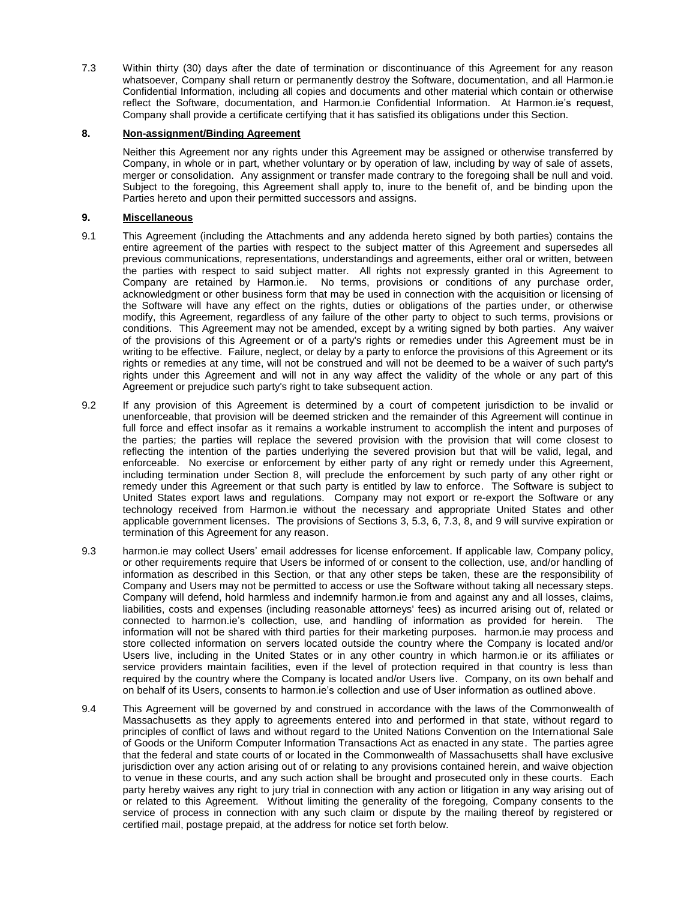7.3 Within thirty (30) days after the date of termination or discontinuance of this Agreement for any reason whatsoever, Company shall return or permanently destroy the Software, documentation, and all Harmon.ie Confidential Information, including all copies and documents and other material which contain or otherwise reflect the Software, documentation, and Harmon.ie Confidential Information. At Harmon.ie's request, Company shall provide a certificate certifying that it has satisfied its obligations under this Section.

### **8. Non-assignment/Binding Agreement**

Neither this Agreement nor any rights under this Agreement may be assigned or otherwise transferred by Company, in whole or in part, whether voluntary or by operation of law, including by way of sale of assets, merger or consolidation. Any assignment or transfer made contrary to the foregoing shall be null and void. Subject to the foregoing, this Agreement shall apply to, inure to the benefit of, and be binding upon the Parties hereto and upon their permitted successors and assigns.

#### **9. Miscellaneous**

- 9.1 This Agreement (including the Attachments and any addenda hereto signed by both parties) contains the entire agreement of the parties with respect to the subject matter of this Agreement and supersedes all previous communications, representations, understandings and agreements, either oral or written, between the parties with respect to said subject matter. All rights not expressly granted in this Agreement to Company are retained by Harmon.ie. No terms, provisions or conditions of any purchase order, acknowledgment or other business form that may be used in connection with the acquisition or licensing of the Software will have any effect on the rights, duties or obligations of the parties under, or otherwise modify, this Agreement, regardless of any failure of the other party to object to such terms, provisions or conditions. This Agreement may not be amended, except by a writing signed by both parties. Any waiver of the provisions of this Agreement or of a party's rights or remedies under this Agreement must be in writing to be effective. Failure, neglect, or delay by a party to enforce the provisions of this Agreement or its rights or remedies at any time, will not be construed and will not be deemed to be a waiver of such party's rights under this Agreement and will not in any way affect the validity of the whole or any part of this Agreement or prejudice such party's right to take subsequent action.
- 9.2 If any provision of this Agreement is determined by a court of competent jurisdiction to be invalid or unenforceable, that provision will be deemed stricken and the remainder of this Agreement will continue in full force and effect insofar as it remains a workable instrument to accomplish the intent and purposes of the parties; the parties will replace the severed provision with the provision that will come closest to reflecting the intention of the parties underlying the severed provision but that will be valid, legal, and enforceable. No exercise or enforcement by either party of any right or remedy under this Agreement, including termination under Section 8, will preclude the enforcement by such party of any other right or remedy under this Agreement or that such party is entitled by law to enforce. The Software is subject to United States export laws and regulations. Company may not export or re-export the Software or any technology received from Harmon.ie without the necessary and appropriate United States and other applicable government licenses. The provisions of Sections 3, 5.3, 6, 7.3, 8, and 9 will survive expiration or termination of this Agreement for any reason.
- 9.3 harmon.ie may collect Users' email addresses for license enforcement. If applicable law, Company policy, or other requirements require that Users be informed of or consent to the collection, use, and/or handling of information as described in this Section, or that any other steps be taken, these are the responsibility of Company and Users may not be permitted to access or use the Software without taking all necessary steps. Company will defend, hold harmless and indemnify harmon.ie from and against any and all losses, claims, liabilities, costs and expenses (including reasonable attorneys' fees) as incurred arising out of, related or connected to harmon.ie's collection, use, and handling of information as provided for herein. The information will not be shared with third parties for their marketing purposes. harmon.ie may process and store collected information on servers located outside the country where the Company is located and/or Users live, including in the United States or in any other country in which harmon.ie or its affiliates or service providers maintain facilities, even if the level of protection required in that country is less than required by the country where the Company is located and/or Users live. Company, on its own behalf and on behalf of its Users, consents to harmon.ie's collection and use of User information as outlined above.
- 9.4 This Agreement will be governed by and construed in accordance with the laws of the Commonwealth of Massachusetts as they apply to agreements entered into and performed in that state, without regard to principles of conflict of laws and without regard to the United Nations Convention on the International Sale of Goods or the Uniform Computer Information Transactions Act as enacted in any state. The parties agree that the federal and state courts of or located in the Commonwealth of Massachusetts shall have exclusive jurisdiction over any action arising out of or relating to any provisions contained herein, and waive objection to venue in these courts, and any such action shall be brought and prosecuted only in these courts. Each party hereby waives any right to jury trial in connection with any action or litigation in any way arising out of or related to this Agreement. Without limiting the generality of the foregoing, Company consents to the service of process in connection with any such claim or dispute by the mailing thereof by registered or certified mail, postage prepaid, at the address for notice set forth below.